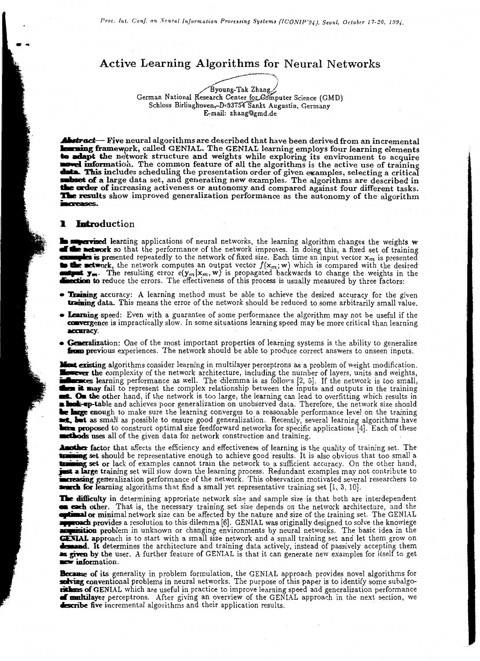# **Active Learning Algorithms for Neural Networks**

Byoung-Tak Zhang German National Research Center for Gomputer Science (GMD) Schloss Birlinghoven,-D-53754 Sankt Augustin, Germany E-mail: zhang@gmd.de

Abstract— Five neural algorithms are described that have been derived from an incremental **learning framework**, called GENIAL. The GENIAL learning employs four learning elements to adapt the network structure and weights while exploring its environment to acquire novel information. The common feature of all the algorithms is the active use of training data. This includes scheduling the presentation order of given examples, selecting a critical subset of a large data set, and generating new examples. The algorithms are described in the order of increasing activeness or autonomy and compared against four different tasks. The results show improved generalization performance as the autonomy of the algorithm **increases.** 

### **Introduction**

parvised learning applications of neural networks, the learning algorithm changes the weights w fit the network so that the performance of the network improves. In doing this, a fixed set of training **ples is prese**nted repeatedly to the network of fixed size. Each time an input vector  $\mathbf{x}_m$  is presented **to the network**, the network computes an output vector  $f(\mathbf{x}_m; \mathbf{w})$  which is compared with the desired **Level y<sub>m</sub>**. The resulting error  $e(y_m|x_m, w)$  is propagated backwards to change the weights in the extion to reduce the errors. The effectiveness of this process is usually measured by three factors:

- **Training accuracy:** A learning method must be able to achieve the desired accuracy for the given training data. This means the error of the network should be reduced to some arbitrarily small value.
- **Learning** speed: Even with a guarantee of some performance the algorithm may not be useful if the convergence is impractically slow. In some situations learning speed may be more critical than learning accuracy.
- **Generalization:** One of the most important properties of learning systems is the ability to generalize from previous experiences. The network should be able to produce correct answers to unseen inputs.

**Most existing** algorithms consider learning in multilayer perceptrons as a problem of weight modification. **Examplement** the complexity of the network architecture, including the number of layers, units and weights, **Exaces learning performance as well.** The dilemma is as follows [2, 5]. If the network is too small, **Example 1** and it of represent the complex relationship between the inputs and outputs in the training **set.** On the other hand, if the network is too large, the learning can lead to overfitting which results in a look-up-table and achieves poor generalization on unobserved data. Therefore, the network size should be large enough to make sure the learning converges to a reasonable performance level on the training st but as small as possible to ensure good generalization. Recently, several learning algorithms have **been proposed** to construct optimal size feedforward networks for specific applications [4]. Each of these nethods uses all of the given data for network construction and training.

Another factor that affects the efficiency and effectiveness of learning is the quality of training set. The training set should be representative enough to achieve good results. It is also obvious that too small a ing set or lack of examples cannot train the network to a sufficient accuracy. On the other hand, tra **That a large training** set will slow down the learning process. Redundant examples may not contribute to **increasing** generalization performance of the network. This observation motivated several researchers to **search for learning algorithms that find a small yet representative training set** [1, 3, 10].

The difficulty in determining approriate network size and sample size is that both are interdependent **on each other.** That is, the necessary training set size depends on the network architecture, and the outlined or minimal network size can be affected by the nature and size of the training set. The GENIAL **upproach provides** a resolution to this dilemma [6]. GENIAL was originally designed to solve the knowlege **acquisition** problem in unknown or changing environments by neural networks. The basic idea in the GENIAL approach is to start with a small size network and a small training set and let them grow on demand. It determines the architecture and training data actively, instead of passively accepting them as given by the user. A further feature of GENIAL is that it can generate new examples for itself to get **new** information.

Because of its generality in problem formulation, the GENIAL approach provides novel algorithms for<br>solving conventional problems in neural networks. The purpose of this paper is to identify some subalgorithms of GENIAL which are useful in practice to improve learning speed and generalization performance of multilayer perceptrons. After giving an overview of the GENIAL approach in the next section, we describe five incremental algorithms and their application results.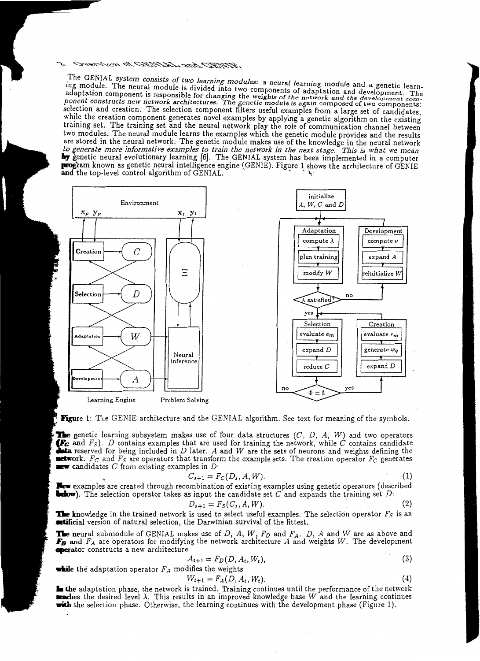## $\mathscr{I}\!\mathscr{I}\!\mathscr{I}\!\mathscr{I}\!\mathscr{I}\!\mathscr{I}$  thus  $\mathscr{I}\!\mathscr{I}\!\mathscr{I}\!\mathscr{I}\!\mathscr{I}\!\mathscr{I}$  in was irrestributed by

The GENIAL system consists of two learning modules: a neural learning module and a genetic learning module. The neural module is divided into two components of adaptation and development. The adaptation component is responsible for changing the weights of adaptation and development. The<br>ponent constructs new network architectures. The genetic module is again composed of two components: selection and creation. The selection component filters useful examples from a large set of candidates, while the creation component generates novel examples by applying a genetic algorithm on the existing training set. The training set and the neural network play the role of communication channel between two modules. The neural module learns the examples which the genetic module provides and the results are stored in the neural network. The genetic module makes use of the knowledge in the neural network *to 4enerate more informative examples to train the network in the next stage. This is what we mean*  by genetic neural evolutionary learning [6]. The GENIAL system has been implemented in a computer program known as genetic neural intelligence engine (GENIE). Figure 1 shows the architecture of GENIE and the top-level control algorithm of GENIAL.



Figure 1: The GENIE architecture and the GENIAL algorithm. See text for meaning of the symbols.

The genetic learning subsystem makes use of four data structures  $(C, D, A, W)$  and two operators **UC** and F<sub>S</sub>). D contains examples that are used for training the network, while C contains candidate **4 at a** reserved for being included in D later. A and W are the sets of neurons and weights defining the **Example sets.** Fe and  $F_S$  are operators that transform the example sets. The creation operator  $F_C$  generates  $\bullet$  candidates C from existing examples in D:

$$
C_{s+1} = F_C(D_s, A, W). \tag{1}
$$

Hew examples are created through recombination of existing examples using genetic operators (described **Lelow).** The selection operator takes as input the candidate set C and expands the training set D:

$$
D_{s+1} = F_S(C_s, A, W). \tag{2}
$$

The knowledge in the trained network is used to select useful examples. The selection operator  $F_S$  is an **ertificial** version of natural selection, the Darwinian survival of the fittest.

**The neural submodule of GENIAL makes use of D, A, W,**  $F_D$  **and**  $F_A$ **.** D, A and W are as above and *FD* and *FA* are operators for modifying the network architecture *A* and weights *W.* The development **aperator** constructs a new architecture

$$
A_{t+1} = F_D(D, A_t, W_t),
$$
\n(3)

while the adaptation operator  $F_A$  modifies the weights

$$
W_{t+1} = F_A(D, A_t, W_t). \tag{4}
$$

 $W_{t+1} = F_A(D, A_t, W_t)$ . <br>**In the** adaptation phase, the network is trained. Training continues until the performance of the network **Exaches** the desired level  $\lambda$ . This results in an improved knowledge base *W* and the learning continues with the selection phase. Otherwise, the learning continues with the development phase (Figure 1).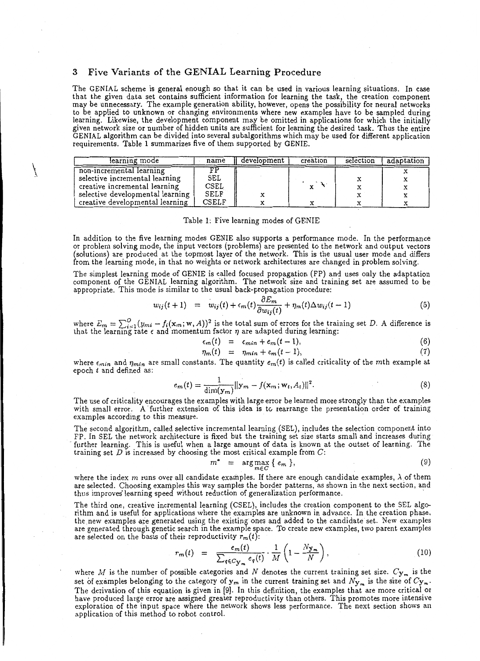# 3 Five Variants of the GENIAL Learning Procedure

 $\int$ 

The GENIAL scheme is general enough so that it can be used in various learning situations. In case that the given data set contains sufficient information for learning the task, the creation component may be unnecessary. The example generation ability, however, opens the possibility for neural networks to be applied to unknown or changing environments where new examples have to be sampled during learning. Likewise, the development component may be omitted in applications for which the initially given network size or number of hidden units are sufficient for learning the desired task. Thus the entire GENIAL algorithm can be divided into several subalgorithms which may be used for different application requirements. Table 1 summarizes five of them supported by GENIE.

| learning mode                    | name         | development | creation | selection | adaptation |
|----------------------------------|--------------|-------------|----------|-----------|------------|
| non-incremental learning         |              |             |          |           |            |
| selective incremental learning   | SEL          |             |          |           |            |
| creative incremental learning    | CSEL         |             |          |           |            |
| selective developmental learning | SELF         |             |          |           |            |
| creative developmental learning  | <b>CSELF</b> |             |          |           |            |

#### Table 1: Five learning modes of GENIE

In addition to the five learning modes GENIE also supports a performance mode. In the performance or problem solving mode, the input vectors (problems) are presented to the network and output vectors (solutions) are produced at the topmost layer of the network. This is the usual user mode and differs from the learning mode, in that no weights or network architectures are changed in problem solving.

The simplest learning mode of GENIE is called focused propagation (FP) and uses only the adaptation component of the GENIAL learning algorithm. The network size and training set are assumed to be appropriate, This mode is similar to the usual back-propagation procedure:

$$
w_{ij}(t+1) = w_{ij}(t) + \epsilon_m(t) \frac{\partial E_m}{\partial w_{ij}(t)} + \eta_m(t) \Delta w_{ij}(t-1)
$$
\n
$$
\tag{5}
$$

where  $E_m = \sum_{i=1}^{O} (y_{mi} - f_i(\mathbf{x}_m; \mathbf{w}, A))^2$  is the total sum of errors for the training set *D*. A difference is that the learning rate  $\epsilon$  and momentum factor  $\eta$  are adapted during learning:

$$
\epsilon_m(t) = \epsilon_{min} + e_m(t-1), \qquad (6)
$$

$$
\eta_m(t) = \eta_{min} + e_m(t-1), \qquad (7)
$$

where  $\epsilon_{min}$  and  $\eta_{min}$  are small constants. The quantity  $e_m(t)$  is called criticality of the mth example at epoch *t* and defined as:

$$
e_m(t) = \frac{1}{\dim(\mathbf{y}_m)} ||\mathbf{y}_m - f(\mathbf{x}_m; \mathbf{w}_t, A_t)||^2.
$$
 (8)

The use of criticality encourages the examples with large error be learned more strongly than the examples with small error. A further extension of this idea is to rearrange the presentation order of training examples according to this measure.

The second algorithm, called selective incremental learning (SEL), includes the selection component into FP. In SEL the network architecture is fixed but the training set size starts small and increases during · further learning. This is useful when a large amount of data is known at the outset of learning. The training set *D* is increased by choosing the most critical example from C:

$$
m^* = \underset{m \in C}{\arg \max} \{ e_m \}, \tag{9}
$$

where the index  $m$  runs over all candidate examples. If there are enough candidate examples,  $\lambda$  of them are selected. Choosing examples this way samples the border patterns, as shown in the next section, and thus improves learning speed without reduction of generalization performance.

The third one, creative incremental learning (CSEL), includes the creation component to the SEL algorithm and is useful for applications where the examples are unknown in advance. In the creation phase, the new examples are generated using the existing ones and added to the candidate set. New examples are generated through genetic search in the example space, To create new examples, two parent examples are selected on the basis of their reproductivity  $r_m(t)$ :

$$
r_m(t) = \frac{e_m(t)}{\sum_{q \in C_{\mathbf{Y}_m}} e_q(t)} \cdot \frac{1}{M} \left( 1 - \frac{N_{\mathbf{Y}_m}}{N} \right), \tag{10}
$$

where M is the number of possible categories and N denotes the current training set size.  $C_{\mathbf{y}_m}$  is the set of examples belonging to the category of  $y_m$  in the current training set and  $N_{y_m}$  is the size of  $C_{y_m}$ The derivation of this equation is given in [9]. In this definition, the examples that are more critical or have produced large error are assigned greater reproductivity than others. This promotes more intensive exploration of the input space where the network shows less performance. The next section shows an application of this method to robot control.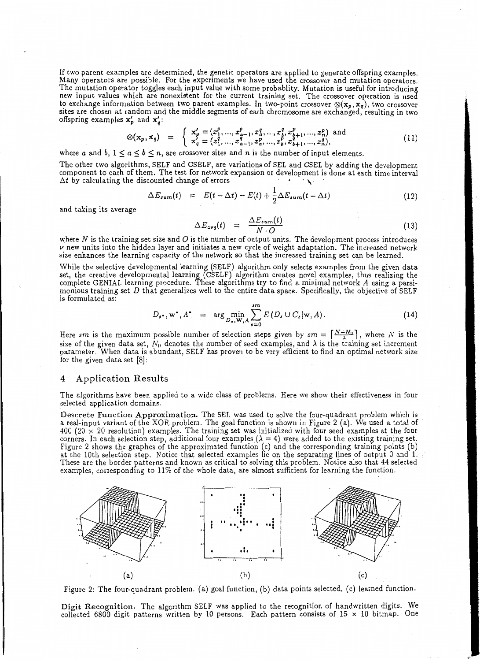If two parent examples are determined, the genetic operators are applied to generate offspring examples. Many operators are possible. For the experiments we have used the crossover and mutation operators. The mutation operator toggles each input value with some probablity. Mutation is useful for introducing new input values which are nonexistent for the current training set. The crossover operation is used to exchange information between two parent examples. In two-point crossover ®(xp, *Xq* ), two crossover sites are chosen at random and the middle segments of each chromosome are exchanged, resulting in two offspring examples  $x_p'$  and  $x_q'$ :

$$
\otimes (\mathbf{x}_p, \mathbf{x}_q) = \begin{cases} \mathbf{x}_p' = (x_1^p, ..., x_{a-1}^p, x_a^q, ..., x_b^q, x_{b+1}^p, ..., x_n^p) \text{ and} \\ \mathbf{x}_q' = (x_1^q, ..., x_{a-1}^q, x_a^p, ..., x_b^p, x_{b+1}^q, ..., x_n^q), \end{cases}
$$
(11)

where *a* and *b*,  $1 \le a \le b \le n$ , are crossover sites and *n* is the number of input elements.

The other two algorithms, SELF and CSELF, are variations of SEL and CSEL by adding the development component to each of them. The test for network expansion or development is done at each time interval  $\Delta t$  by calculating the discounted change of errors

$$
\Delta E_{sum}(t) = E(t - \Delta t) - E(t) + \frac{1}{2} \Delta E_{sum}(t - \Delta t)
$$
\n(12)

and taking its average

$$
\Delta E_{avg}(t) = \frac{\Delta E_{sum}(t)}{N \cdot O} \tag{13}
$$

where  $N$  is the training set size and  $O$  is the number of output units. The development process introduces *v* new units into the hidden layer and initiates a new cycle of weight adaptation. The increased network size enhances the learning capacity of the network so that the increased training set cap be learned.

While the selective developmental learning (SELF) algorithm only selects examples from the given data set, the creative developmental learning (CSELF) algorithm creates novel examples, thus realizing the complete GENIAL learning procedure. These algorithms try to find a minimal network A using a parsimonious training set *D* that generalizes well to the entire data space. Specifically, the objective of SELF is formulated as:

$$
D_{s^*}, \mathbf{w}^*, A^* = \arg \min_{D_{s}, \mathbf{W}, A} \sum_{s=0}^{sm} E(D_s \cup C_s | \mathbf{w}, A).
$$
 (14)

Here *sm* is the maximum possible number of selection steps given by  $sm = \left[\frac{N - N_0}{\lambda}\right]$ , where N is the size of the given data set,  $N_0$  denotes the number of seed examples, and  $\lambda$  is the training set increment parameter. When data is abundant, SELF has proven to be very efficient to find an optimal network size for the given data set [8]:

## 4 Application Results

The algorithms have been applied to a wide class of problems. Here we show their effectiveness in four selected application domains.

Descrete Function Approximation. The SEL was used to solve the four-quadrant problem which is a real-input variant of the XOR problem. The goal function is shown in Figure 2 (a). We used a total of 400 (20  $\times$  20 resolution) examples. The training set was initialized with four seed examples at the four corners. In each selection step, additional four examples ( $\lambda=4$ ) were added to the existing training set. Figure 2 shows the graphes of the approximated function (c) and the corresponding training points (b) at the lOth selection step. Notice that selected examples lie on the separating lines of output 0 and 1. These are the border patterns and known as critical to solving this problem. Notice also that 44 selected examples, corresponding to 11% of the whole data, are almost sufficient for learning the function.



Figure 2: The four-quadrant problem. (a) goal function, (b) data points selected, (c) learned function.

Digit Recognition. The algorithm SELF was applied to the recognition of handwritten digits. We collected 6800 digit patterns written by 10 persons. Each pattern consists of 15  $\times$  10 bitmap. One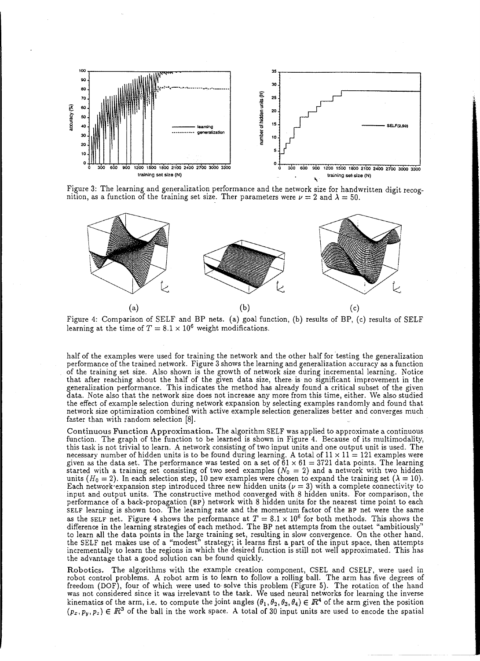

nition, as a function of the training set size. Ther parameters were  $\nu = 2$  and  $\lambda = 50$ .



Figure 4: Comparison of SELF and BP nets. (a) goal function, (b) results of BP, (c) results of SELF learning at the time of  $T= 8.1 \times 10^6$  weight modifications.

half of the examples were used for training the network and the other half for testing the generalization performance of the trained network. Figure 3 shows the learning and generalization accuracy as a function of the training set size. Also shown is the growth of network size during incremental learning. Notice that after reaching about the half of the given data size, there. is no significant improvement in the generalization performance. This indicates the method has already found a critical subset of the given data. Note also that the network size does not increase any more from this time, either. We also studied the effect of example selection during network expansion by selecting examples randomly and found that network size optimization combined with active example selection generalizes better and converges much faster than with random selection [8].

Continuous Function Approximation. The algorithm SELF was applied to approximate a continuous function. The graph of the function to be learned is shown in Figure 4. Because of its multimodality, this task is not trivial to learn. A network consisting of two input units and one output unit is used. The necessary number of hidden units is to be found during learning. A total of  $11 \times 11 = 121$  examples were given as the data set. The performance was tested on a set of  $61 \times 61 = 3721$  data points. The learning started with a training set consisting of two seed examples  $(N_0 = 2)$  and a network with two hidden units  $(H_0 = 2)$ . In each selection step, 10 new examples were chosen to expand the training set  $(\lambda = 10)$ . Each network-expansion step introduced three new hidden units  $(\nu = 3)$  with a complete connectivity to input and output units. The constructive method converged with 8 hidden units. For comparison, the performance of a back-propagation (BP) network with 8 hidden units for the nearest time point to each SELF learning is shown too. The learning rate and the momentum factor of the BP net were the same as the SELF net. Figure 4 shows the performance at  $T = 8.1 \times 10^6$  for both methods. This shows the difference in the learning strategies of each method. The BP net attempts from the outset "ambitiously" to learn all the data points in the large training set, resulting in slow convergence. On the other hand. the SELF net makes use of a "modest" strategy; it learns first a part of the input space, then attempts incrementally to learn the regions in which the desired function is still not well approximated. This has the advantage that a good solution can be found quickly.

Robotics. The algorithms with the example creation component, CSEL and CSELF, were used in robot control problems. A robot arm is to learn to follow a rolling ball. The arm has five degrees of freedom (DOF), four of which were used to solve this problem (Figure 5). The rotation of the hand was not considered since it was irrelevant to the task. We used neural networks for learning the inverse kinematics of the arm, i.e. to compute the joint angles  $(\theta_1, \theta_2, \theta_3, \theta_4) \in \mathbb{R}^4$  of the arm given the position  $(p_x, p_y, p_z) \in \mathbb{R}^3$  of the ball in the work space. A total of 30 input units are used to encode the spatial